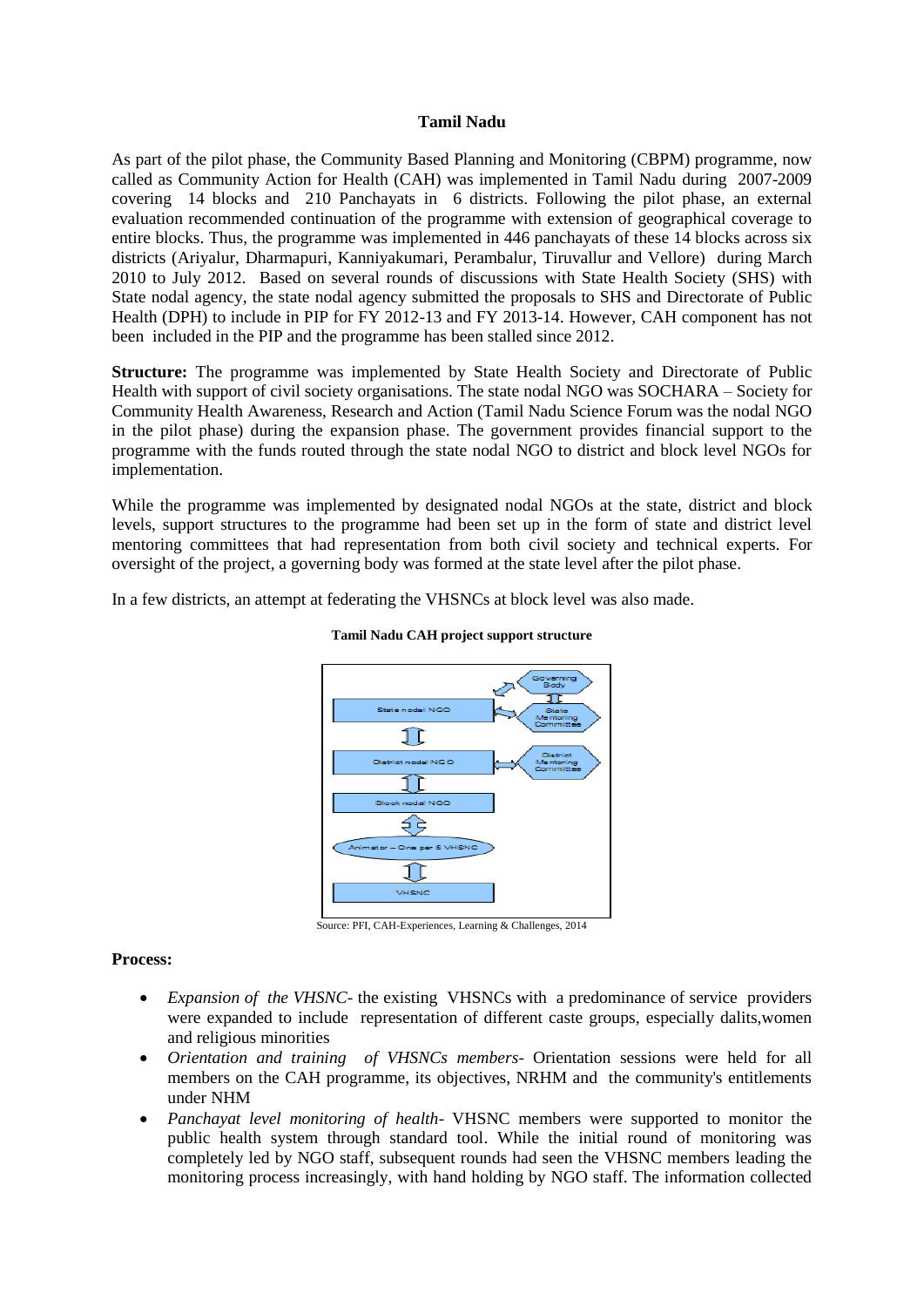## **Tamil Nadu**

As part of the pilot phase, the Community Based Planning and Monitoring (CBPM) programme, now called as Community Action for Health (CAH) was implemented in Tamil Nadu during 2007-2009 covering 14 blocks and 210 Panchayats in 6 districts. Following the pilot phase, an external evaluation recommended continuation of the programme with extension of geographical coverage to entire blocks. Thus, the programme was implemented in 446 panchayats of these 14 blocks across six districts (Ariyalur, Dharmapuri, Kanniyakumari, Perambalur, Tiruvallur and Vellore) during March 2010 to July 2012. Based on several rounds of discussions with State Health Society (SHS) with State nodal agency, the state nodal agency submitted the proposals to SHS and Directorate of Public Health (DPH) to include in PIP for FY 2012-13 and FY 2013-14. However, CAH component has not been included in the PIP and the programme has been stalled since 2012.

**Structure:** The programme was implemented by State Health Society and Directorate of Public Health with support of civil society organisations. The state nodal NGO was SOCHARA – Society for Community Health Awareness, Research and Action (Tamil Nadu Science Forum was the nodal NGO in the pilot phase) during the expansion phase. The government provides financial support to the programme with the funds routed through the state nodal NGO to district and block level NGOs for implementation.

While the programme was implemented by designated nodal NGOs at the state, district and block levels, support structures to the programme had been set up in the form of state and district level mentoring committees that had representation from both civil society and technical experts. For oversight of the project, a governing body was formed at the state level after the pilot phase.

In a few districts, an attempt at federating the VHSNCs at block level was also made.



#### **Tamil Nadu CAH project support structure**

Source: PFI, CAH-Experiences, Learning & Challenges, 2014

## **Process:**

- *Expansion of the VHSNC* the existing VHSNCs with a predominance of service providers were expanded to include representation of different caste groups, especially dalits,women and religious minorities
- *Orientation and training of VHSNCs members* Orientation sessions were held for all members on the CAH programme, its objectives, NRHM and the community's entitlements under NHM
- *Panchayat level monitoring of health* VHSNC members were supported to monitor the public health system through standard tool. While the initial round of monitoring was completely led by NGO staff, subsequent rounds had seen the VHSNC members leading the monitoring process increasingly, with hand holding by NGO staff. The information collected